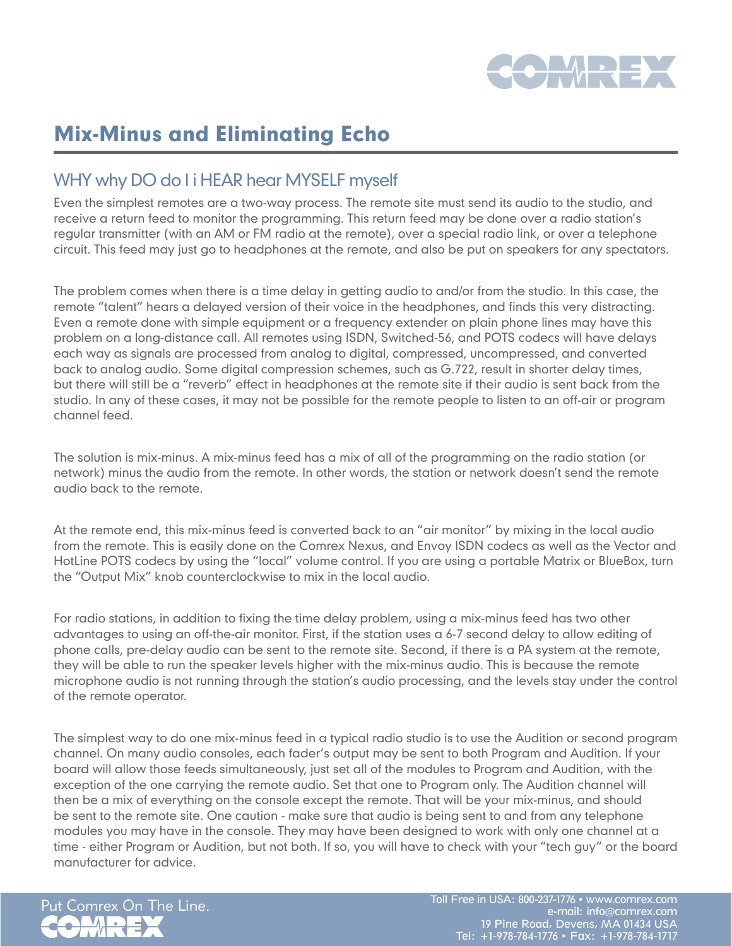

## Mix-Minus and Eliminating Echo

## WHY why DO do I i HEAR hear MYSELF myself

Even the simplest remotes are a two-way process. The remote site must send its audio to the studio, and receive a return feed to monitor the programming. This return feed may be done over a radio station's regular transmitter (with an AM or FM radio at the remote), over a special radio link, or over a telephone circuit. This feed may just go to headphones at the remote, and also be put on speakers for any spectators.

The problem comes when there is a time delay in getting audio to and/or from the studio. In this case, the remote "talent" hears a delayed version of their voice in the headphones, and finds this very distracting. Even a remote done with simple equipment or a frequency extender on plain phone lines may have this problem on a long-distance call. All remotes using ISDN, Switched-56, and POTS codecs will have delays each way as signals are processed from analog to digital, compressed, uncompressed, and converted back to analog audio. Some digital compression schemes, such as G.722, result in shorter delay times, but there will still be a "reverb" effect in headphones at the remote site if their audio is sent back from the studio. In any of these cases, it may not be possible for the remote people to listen to an off-air or program channel feed.

The solution is mix-minus. A mix-minus feed has a mix of all of the programming on the radio station (or network) minus the audio from the remote. In other words, the station or network doesn't send the remote audio back to the remote.

At the remote end, this mix-minus feed is converted back to an "air monitor" by mixing in the local audio from the remote. This is easily done on the Comrex Nexus, and Envoy ISDN codecs as well as the Vector and HotLine POTS codecs by using the "local" volume control. If you are using a portable Matrix or BlueBox, turn the "Output Mix" knob counterclockwise to mix in the local audio.

For radio stations, in addition to fixing the time delay problem, using a mix-minus feed has two other advantages to using an off-the-air monitor. First, if the station uses a 6-7 second delay to allow editing of phone calls, pre-delay audio can be sent to the remote site. Second, if there is a PA system at the remote, they will be able to run the speaker levels higher with the mix-minus audio. This is because the remote microphone audio is not running through the station's audio processing, and the levels stay under the control of the remote operator.

The simplest way to do one mix-minus feed in a typical radio studio is to use the Audition or second program channel. On many audio consoles, each fader's output may be sent to both Program and Audition. If your board will allow those feeds simultaneously, just set all of the modules to Program and Audition, with the exception of the one carrying the remote audio. Set that one to Program only. The Audition channel will then be a mix of everything on the console except the remote. That will be your mix-minus, and should be sent to the remote site. One caution - make sure that audio is being sent to and from any telephone modules you may have in the console. They may have been designed to work with only one channel at a time - either Program or Audition, but not both. If so, you will have to check with your "tech guy" or the board manufacturer for advice.



Put Comrex On The Line. Toll Free in USA: 800-237-1776 • www.comrex.com e-mail: info@comrex.com 19 Pine Road, Devens, MA 01434 USA Tel: +1-978-784-1776 • Fax: +1-978-784-1717